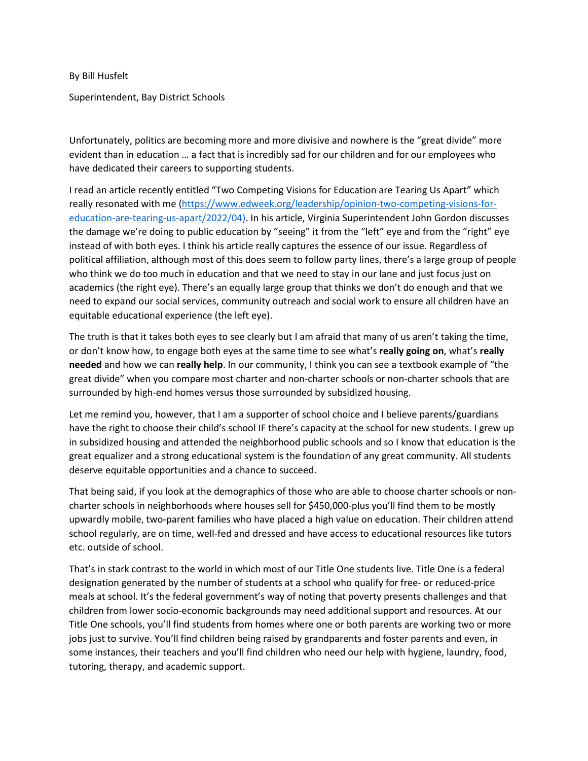By Bill Husfelt

Superintendent, Bay District Schools

Unfortunately, politics are becoming more and more divisive and nowhere is the "great divide" more evident than in education … a fact that is incredibly sad for our children and for our employees who have dedicated their careers to supporting students.

I read an article recently entitled "Two Competing Visions for Education are Tearing Us Apart" which really resonated with me [\(https://www.edweek.org/leadership/opinion-two-competing-visions-for](https://www.edweek.org/leadership/opinion-two-competing-visions-for-education-are-tearing-us-apart/2022/04)[education-are-tearing-us-apart/2022/04\)](https://www.edweek.org/leadership/opinion-two-competing-visions-for-education-are-tearing-us-apart/2022/04). In his article, Virginia Superintendent John Gordon discusses the damage we're doing to public education by "seeing" it from the "left" eye and from the "right" eye instead of with both eyes. I think his article really captures the essence of our issue. Regardless of political affiliation, although most of this does seem to follow party lines, there's a large group of people who think we do too much in education and that we need to stay in our lane and just focus just on academics (the right eye). There's an equally large group that thinks we don't do enough and that we need to expand our social services, community outreach and social work to ensure all children have an equitable educational experience (the left eye).

The truth is that it takes both eyes to see clearly but I am afraid that many of us aren't taking the time, or don't know how, to engage both eyes at the same time to see what's **really going on**, what's **really needed** and how we can **really help**. In our community, I think you can see a textbook example of "the great divide" when you compare most charter and non-charter schools or non-charter schools that are surrounded by high-end homes versus those surrounded by subsidized housing.

Let me remind you, however, that I am a supporter of school choice and I believe parents/guardians have the right to choose their child's school IF there's capacity at the school for new students. I grew up in subsidized housing and attended the neighborhood public schools and so I know that education is the great equalizer and a strong educational system is the foundation of any great community. All students deserve equitable opportunities and a chance to succeed.

That being said, if you look at the demographics of those who are able to choose charter schools or noncharter schools in neighborhoods where houses sell for \$450,000-plus you'll find them to be mostly upwardly mobile, two-parent families who have placed a high value on education. Their children attend school regularly, are on time, well-fed and dressed and have access to educational resources like tutors etc. outside of school.

That's in stark contrast to the world in which most of our Title One students live. Title One is a federal designation generated by the number of students at a school who qualify for free- or reduced-price meals at school. It's the federal government's way of noting that poverty presents challenges and that children from lower socio-economic backgrounds may need additional support and resources. At our Title One schools, you'll find students from homes where one or both parents are working two or more jobs just to survive. You'll find children being raised by grandparents and foster parents and even, in some instances, their teachers and you'll find children who need our help with hygiene, laundry, food, tutoring, therapy, and academic support.